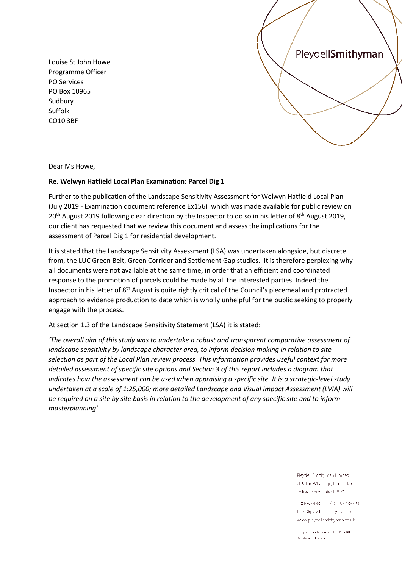Louise St John Howe Programme Officer PO Services PO Box 10965 Sudbury Suffolk CO10 3BF



Dear Ms Howe,

## **Re. Welwyn Hatfield Local Plan Examination: Parcel Dig 1**

Further to the publication of the Landscape Sensitivity Assessment for Welwyn Hatfield Local Plan (July 2019 - Examination document reference Ex156) which was made available for public review on 20<sup>th</sup> August 2019 following clear direction by the Inspector to do so in his letter of 8<sup>th</sup> August 2019, our client has requested that we review this document and assess the implications for the assessment of Parcel Dig 1 for residential development.

It is stated that the Landscape Sensitivity Assessment (LSA) was undertaken alongside, but discrete from, the LUC Green Belt, Green Corridor and Settlement Gap studies. It is therefore perplexing why all documents were not available at the same time, in order that an efficient and coordinated response to the promotion of parcels could be made by all the interested parties. Indeed the Inspector in his letter of 8<sup>th</sup> August is quite rightly critical of the Council's piecemeal and protracted approach to evidence production to date which is wholly unhelpful for the public seeking to properly engage with the process.

At section 1.3 of the Landscape Sensitivity Statement (LSA) it is stated:

*'The overall aim of this study was to undertake a robust and transparent comparative assessment of landscape sensitivity by landscape character area, to inform decision making in relation to site selection as part of the Local Plan review process. This information provides useful context for more detailed assessment of specific site options and Section 3 of this report includes a diagram that indicates how the assessment can be used when appraising a specific site. It is a strategic-level study undertaken at a scale of 1:25,000; more detailed Landscape and Visual Impact Assessment (LVIA) will be required on a site by site basis in relation to the development of any specific site and to inform masterplanning'*

> Pleydell Smithyman Limited 20A The Wharfage, Ironbridge Telford, Shropshire TF8 7NH

T. 01952 433211 F. 01952 433323 E. psl@pleydellsmithyman.co.uk www.pleydellsmithyman.co.uk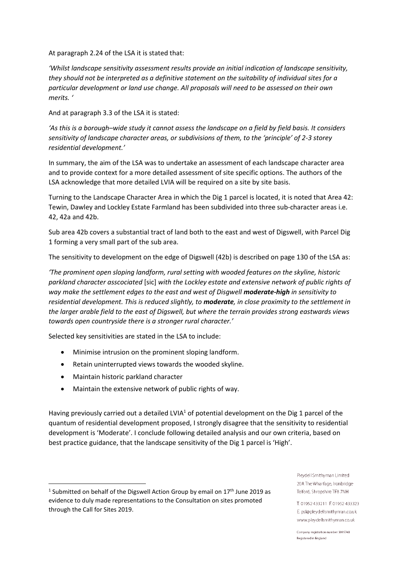At paragraph 2.24 of the LSA it is stated that:

*'Whilst landscape sensitivity assessment results provide an initial indication of landscape sensitivity, they should not be interpreted as a definitive statement on the suitability of individual sites for a particular development or land use change. All proposals will need to be assessed on their own merits. '*

And at paragraph 3.3 of the LSA it is stated:

*'As this is a borough–wide study it cannot assess the landscape on a field by field basis. It considers sensitivity of landscape character areas, or subdivisions of them, to the 'principle' of 2-3 storey residential development.'*

In summary, the aim of the LSA was to undertake an assessment of each landscape character area and to provide context for a more detailed assessment of site specific options. The authors of the LSA acknowledge that more detailed LVIA will be required on a site by site basis.

Turning to the Landscape Character Area in which the Dig 1 parcel is located, it is noted that Area 42: Tewin, Dawley and Lockley Estate Farmland has been subdivided into three sub-character areas i.e. 42, 42a and 42b.

Sub area 42b covers a substantial tract of land both to the east and west of Digswell, with Parcel Dig 1 forming a very small part of the sub area.

The sensitivity to development on the edge of Digswell (42b) is described on page 130 of the LSA as:

*'The prominent open sloping landform, rural setting with wooded features on the skyline, historic parkland character asscociated* [sic] *with the Lockley estate and extensive network of public rights of way make the settlement edges to the east and west of Disgwell moderate-high in sensitivity to residential development. This is reduced slightly, to moderate, in close proximity to the settlement in the larger arable field to the east of Digswell, but where the terrain provides strong eastwards views towards open countryside there is a stronger rural character.'*

Selected key sensitivities are stated in the LSA to include:

- Minimise intrusion on the prominent sloping landform.
- Retain uninterrupted views towards the wooded skyline.
- Maintain historic parkland character
- Maintain the extensive network of public rights of way.

Having previously carried out a detailed LVIA<sup>1</sup> of potential development on the Dig 1 parcel of the quantum of residential development proposed, I strongly disagree that the sensitivity to residential development is 'Moderate'. I conclude following detailed analysis and our own criteria, based on best practice guidance, that the landscape sensitivity of the Dig 1 parcel is 'High'.

Pleydell Smithyman Limited 20A The Wharfage, Ironbridge Telford, Shropshire TF8 7NH

T. 01952 433211 F. 01952 433323 E. psl@pleydellsmithyman.co.uk www.pleydellsmithyman.co.uk

<sup>&</sup>lt;sup>1</sup> Submitted on behalf of the Digswell Action Group by email on  $17<sup>th</sup>$  June 2019 as evidence to duly made representations to the Consultation on sites promoted through the Call for Sites 2019.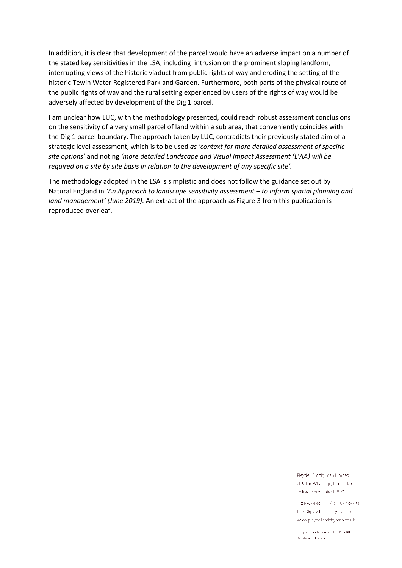In addition, it is clear that development of the parcel would have an adverse impact on a number of the stated key sensitivities in the LSA, including intrusion on the prominent sloping landform, interrupting views of the historic viaduct from public rights of way and eroding the setting of the historic Tewin Water Registered Park and Garden. Furthermore, both parts of the physical route of the public rights of way and the rural setting experienced by users of the rights of way would be adversely affected by development of the Dig 1 parcel.

I am unclear how LUC, with the methodology presented, could reach robust assessment conclusions on the sensitivity of a very small parcel of land within a sub area, that conveniently coincides with the Dig 1 parcel boundary. The approach taken by LUC, contradicts their previously stated aim of a strategic level assessment, which is to be used *as 'context for more detailed assessment of specific site options'* and noting *'more detailed Landscape and Visual Impact Assessment (LVIA) will be required on a site by site basis in relation to the development of any specific site'.*

The methodology adopted in the LSA is simplistic and does not follow the guidance set out by Natural England in *'An Approach to landscape sensitivity assessment – to inform spatial planning and land management' (June 2019).* An extract of the approach as Figure 3 from this publication is reproduced overleaf.

> Pleydell Smithyman Limited 20A The Wharfage, Ironbridge Telford, Shropshire TF8 7NH

T. 01952 433211 F. 01952 433323 E. psl@pleydellsmithyman.co.uk www.pleydellsmithyman.co.uk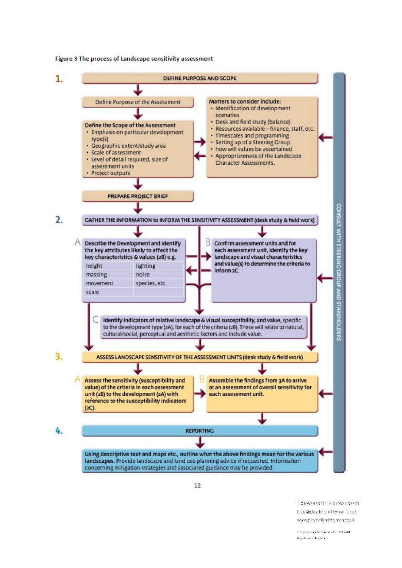Figure 3 The process of Landscape sensitivity assessment



T. 01952 433211 F. 01952 433323 E. psl@pleydellsmithyman.co.uk www.pleydellsmithyman.co.uk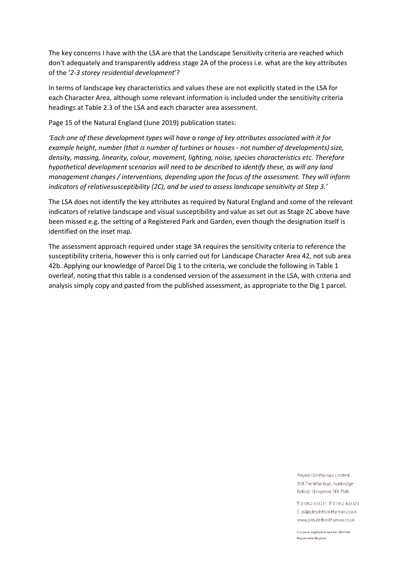The key concerns I have with the LSA are that the Landscape Sensitivity criteria are reached which don't adequately and transparently address stage 2A of the process i.e. what are the key attributes of the '*2-3 storey residential development*'?

In terms of landscape key characteristics and values these are not explicitly stated in the LSA for each Character Area, although some relevant information is included under the sensitivity criteria headings at Table 2.3 of the LSA and each character area assessment.

Page 15 of the Natural England (June 2019) publication states:

*'Each one of these development types will have a range of key attributes associated with it for example height, number (that is number of turbines or houses - not number of developments) size, density, massing, linearity, colour, movement, lighting, noise, species characteristics etc. Therefore hypothetical development scenarios will need to be described to identify these, as will any land management changes / interventions, depending upon the focus of the assessment. They will inform indicators of relativeP18Fsusceptibility (2C), and be used to assess landscape sensitivity at Step 3.'*

The LSA does not identify the key attributes as required by Natural England and some of the relevant indicators of relative landscape and visual susceptibility and value as set out as Stage 2C above have been missed e.g. the setting of a Registered Park and Garden, even though the designation itself is identified on the inset map.

The assessment approach required under stage 3A requires the sensitivity criteria to reference the susceptibility criteria, however this is only carried out for Landscape Character Area 42, not sub area 42b. Applying our knowledge of Parcel Dig 1 to the criteria, we conclude the following in Table 1 overleaf, noting that this table is a condensed version of the assessment in the LSA, with criteria and analysis simply copy and pasted from the published assessment, as appropriate to the Dig 1 parcel.

> Pleydell Smithyman Limited 20A The Wharfage, Ironbridge Telford, Shropshire TF8 7NH

T. 01952 433211 F. 01952 433323 E. psl@pleydellsmithyman.co.uk www.pleydellsmithyman.co.uk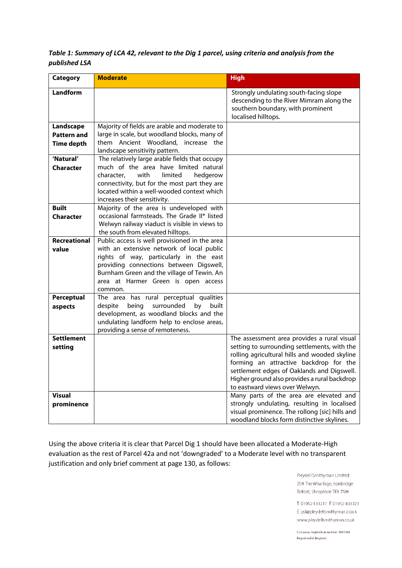## *Table 1: Summary of LCA 42, relevant to the Dig 1 parcel, using criteria and analysis from the published LSA*

| <b>Category</b>                                      | <b>Moderate</b>                                                                                                                                                                                                                                                                  | <b>High</b>                                                                                                                                                                                                                                                                                                            |
|------------------------------------------------------|----------------------------------------------------------------------------------------------------------------------------------------------------------------------------------------------------------------------------------------------------------------------------------|------------------------------------------------------------------------------------------------------------------------------------------------------------------------------------------------------------------------------------------------------------------------------------------------------------------------|
| <b>Landform</b>                                      |                                                                                                                                                                                                                                                                                  | Strongly undulating south-facing slope<br>descending to the River Mimram along the<br>southern boundary, with prominent<br>localised hilltops.                                                                                                                                                                         |
| Landscape<br><b>Pattern and</b><br><b>Time depth</b> | Majority of fields are arable and moderate to<br>large in scale, but woodland blocks, many of<br>them Ancient Woodland, increase the<br>landscape sensitivity pattern.                                                                                                           |                                                                                                                                                                                                                                                                                                                        |
| 'Natural'<br><b>Character</b>                        | The relatively large arable fields that occupy<br>much of the area have limited natural<br>with<br>limited<br>hedgerow<br>character,<br>connectivity, but for the most part they are<br>located within a well-wooded context which<br>increases their sensitivity.               |                                                                                                                                                                                                                                                                                                                        |
| <b>Built</b><br><b>Character</b>                     | Majority of the area is undeveloped with<br>occasional farmsteads. The Grade II* listed<br>Welwyn railway viaduct is visible in views to<br>the south from elevated hilltops.                                                                                                    |                                                                                                                                                                                                                                                                                                                        |
| <b>Recreational</b><br>value                         | Public access is well provisioned in the area<br>with an extensive network of local public<br>rights of way, particularly in the east<br>providing connections between Digswell,<br>Burnham Green and the village of Tewin. An<br>area at Harmer Green is open access<br>common. |                                                                                                                                                                                                                                                                                                                        |
| Perceptual<br>aspects                                | The area has rural perceptual qualities<br>being<br>surrounded<br>despite<br>by<br>built<br>development, as woodland blocks and the<br>undulating landform help to enclose areas,<br>providing a sense of remoteness.                                                            |                                                                                                                                                                                                                                                                                                                        |
| <b>Settlement</b><br>setting                         |                                                                                                                                                                                                                                                                                  | The assessment area provides a rural visual<br>setting to surrounding settlements, with the<br>rolling agricultural hills and wooded skyline<br>forming an attractive backdrop for the<br>settlement edges of Oaklands and Digswell.<br>Higher ground also provides a rural backdrop<br>to eastward views over Welwyn. |
| <b>Visual</b><br>prominence                          |                                                                                                                                                                                                                                                                                  | Many parts of the area are elevated and<br>strongly undulating, resulting in localised<br>visual prominence. The rollong [sic] hills and<br>woodland blocks form distinctive skylines.                                                                                                                                 |

Using the above criteria it is clear that Parcel Dig 1 should have been allocated a Moderate-High evaluation as the rest of Parcel 42a and not 'downgraded' to a Moderate level with no transparent justification and only brief comment at page 130, as follows:

> Pleydell Smithyman Limited 20A The Wharfage, Ironbridge Telford, Shropshire TF8 7NH

T. 01952 433211 F. 01952 433323 E. psl@pleydellsmithyman.co.uk www.pleydellsmithyman.co.uk